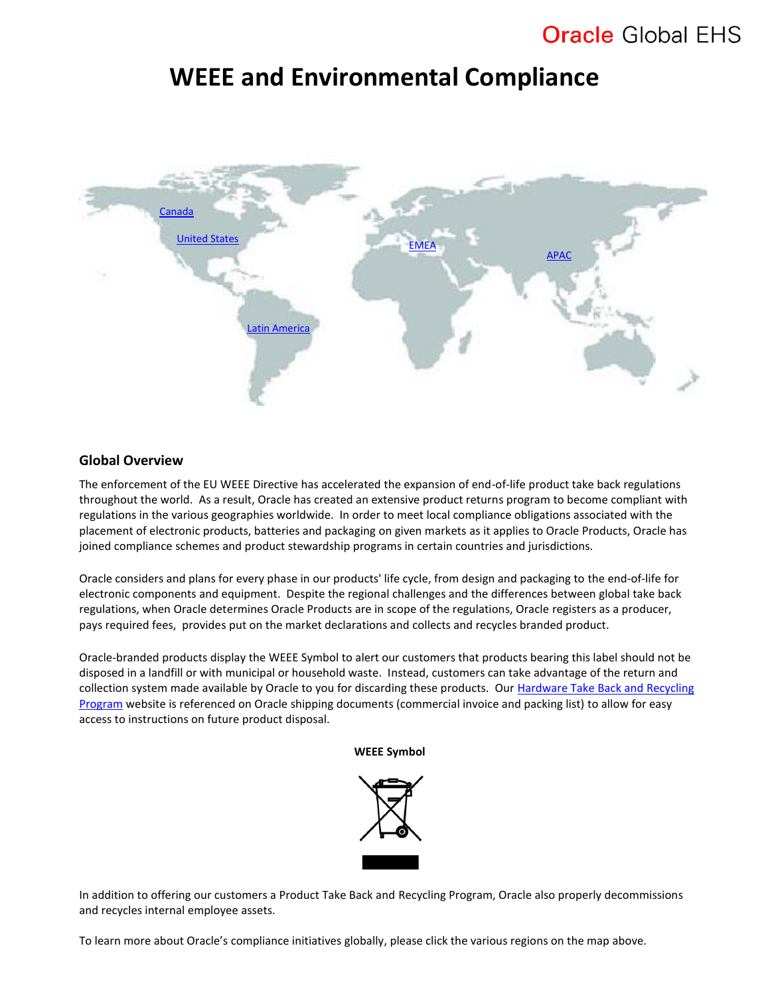## **WEEE and Environmental Compliance**

<span id="page-0-0"></span>

### **Global Overview**

The enforcement of the EU WEEE Directive has accelerated the expansion of end-of-life product take back regulations throughout the world. As a result, Oracle has created an extensive product returns program to become compliant with regulations in the various geographies worldwide. In order to meet local compliance obligations associated with the placement of electronic products, batteries and packaging on given markets as it applies to Oracle Products, Oracle has joined compliance schemes and product stewardship programs in certain countries and jurisdictions.

Oracle considers and plans for every phase in our products' life cycle, from design and packaging to the end-of-life for electronic components and equipment. Despite the regional challenges and the differences between global take back regulations, when Oracle determines Oracle Products are in scope of the regulations, Oracle registers as a producer, pays required fees, provides put on the market declarations and collects and recycles branded product.

Oracle-branded products display the WEEE Symbol to alert our customers that products bearing this label should not be disposed in a landfill or with municipal or household waste. Instead, customers can take advantage of the return and collection system made available by Oracle to you for discarding these products. Our Hardware Take Back and Recycling [Program](https://www.oracle.com/it-infrastructure/take-back-and-recycling/index.html) website is referenced on Oracle shipping documents (commercial invoice and packing list) to allow for easy access to instructions on future product disposal.

#### **WEEE Symbol**



In addition to offering our customers a Product Take Back and Recycling Program, Oracle also properly decommissions and recycles internal employee assets.

To learn more about Oracle's compliance initiatives globally, please click the various regions on the map above.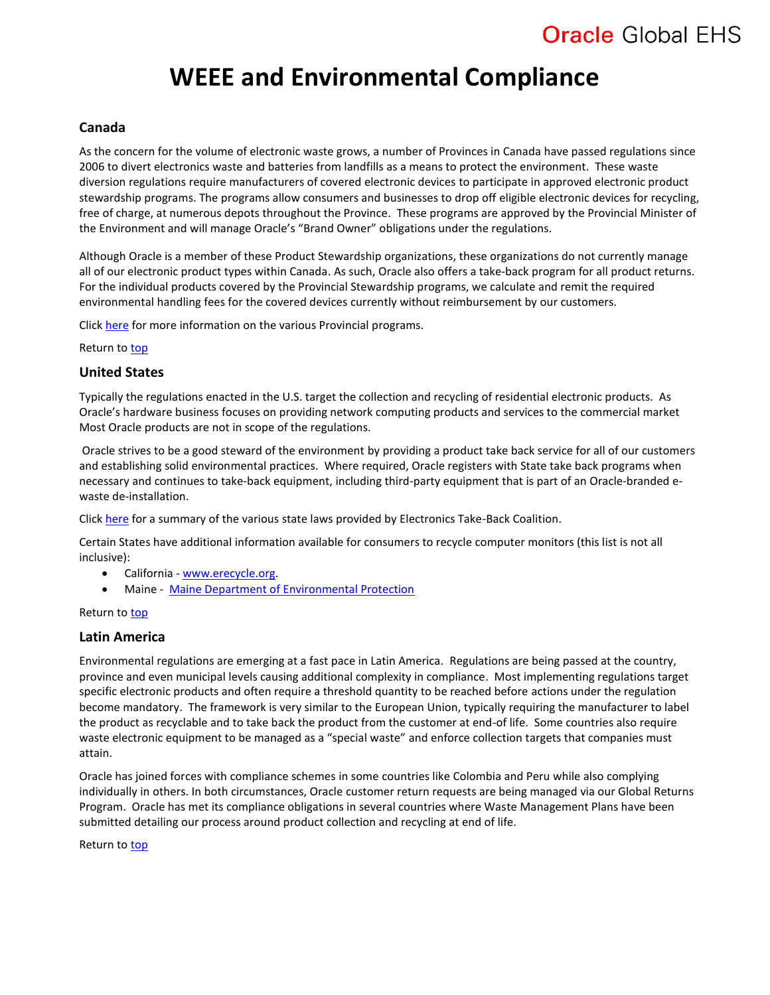# **WEEE and Environmental Compliance**

### <span id="page-1-2"></span>**Canada**

As the concern for the volume of electronic waste grows, a number of Provinces in Canada have passed regulations since 2006 to divert electronics waste and batteries from landfills as a means to protect the environment. These waste diversion regulations require manufacturers of covered electronic devices to participate in approved electronic product stewardship programs. The programs allow consumers and businesses to drop off eligible electronic devices for recycling, free of charge, at numerous depots throughout the Province. These programs are approved by the Provincial Minister of the Environment and will manage Oracle's "Brand Owner" obligations under the regulations.

Although Oracle is a member of these Product Stewardship organizations, these organizations do not currently manage all of our electronic product types within Canada. As such, Oracle also offers a take-back program for all product returns. For the individual products covered by the Provincial Stewardship programs, we calculate and remit the required environmental handling fees for the covered devices currently without reimbursement by our customers.

Click [here](http://www.recyclemyelectronics.ca/) for more information on the various Provincial programs.

Return to [top](#page-0-0)

### <span id="page-1-1"></span>**United States**

Typically the regulations enacted in the U.S. target the collection and recycling of residential electronic products. As Oracle's hardware business focuses on providing network computing products and services to the commercial market Most Oracle products are not in scope of the regulations.

Oracle strives to be a good steward of the environment by providing a product take back service for all of our customers and establishing solid environmental practices. Where required, Oracle registers with State take back programs when necessary and continues to take-back equipment, including third-party equipment that is part of an Oracle-branded ewaste de-installation.

Click [here](http://www.electronicstakeback.com/promote-good-laws/state-legislation/) for a summary of the various state laws provided by Electronics Take-Back Coalition.

Certain States have additional information available for consumers to recycle computer monitors (this list is not all inclusive):

- California [www.erecycle.org.](http://www.erecycle.org/)
- Maine [Maine Department of Environmental Protection](http://www.maine.gov/dep/rwm/ewaste/index.htm)

#### Return to [top](#page-0-0)

### <span id="page-1-0"></span>**Latin America**

Environmental regulations are emerging at a fast pace in Latin America. Regulations are being passed at the country, province and even municipal levels causing additional complexity in compliance. Most implementing regulations target specific electronic products and often require a threshold quantity to be reached before actions under the regulation become mandatory. The framework is very similar to the European Union, typically requiring the manufacturer to label the product as recyclable and to take back the product from the customer at end-of life. Some countries also require waste electronic equipment to be managed as a "special waste" and enforce collection targets that companies must attain.

Oracle has joined forces with compliance schemes in some countries like Colombia and Peru while also complying individually in others. In both circumstances, Oracle customer return requests are being managed via our Global Returns Program. Oracle has met its compliance obligations in several countries where Waste Management Plans have been submitted detailing our process around product collection and recycling at end of life.

<span id="page-1-3"></span>Return to [top](#page-0-0)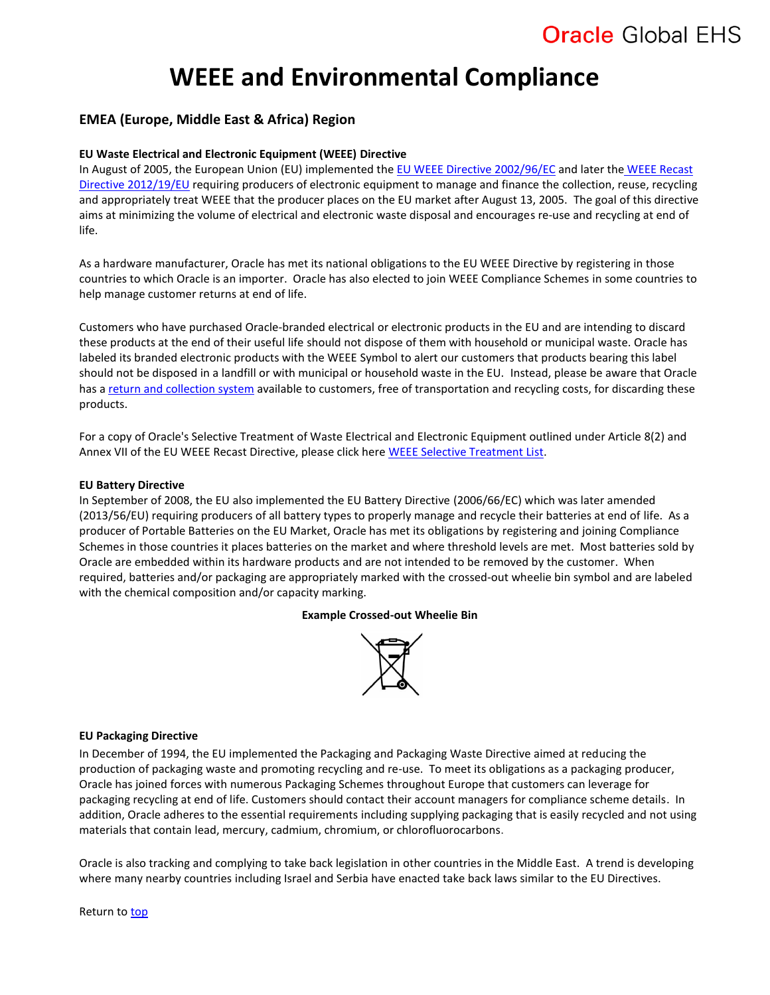# **WEEE and Environmental Compliance**

### **EMEA (Europe, Middle East & Africa) Region**

### **EU Waste Electrical and Electronic Equipment (WEEE) Directive**

In August of 2005, the European Union (EU) implemented th[e EU WEEE Directive 2002/96/EC](https://www.oracle.com/us/products/applications/green/eu-weee-directive-2002-96-ec-185082.pdf) and later the WEEE Recast [Directive 2012/19/EU](http://eur-lex.europa.eu/LexUriServ/LexUriServ.do?uri=OJ:L:2012:197:0038:0071:en:PDF) requiring producers of electronic equipment to manage and finance the collection, reuse, recycling and appropriately treat WEEE that the producer places on the EU market after August 13, 2005. The goal of this directive aims at minimizing the volume of electrical and electronic waste disposal and encourages re-use and recycling at end of life.

As a hardware manufacturer, Oracle has met its national obligations to the EU WEEE Directive by registering in those countries to which Oracle is an importer. Oracle has also elected to join WEEE Compliance Schemes in some countries to help manage customer returns at end of life.

Customers who have purchased Oracle-branded electrical or electronic products in the EU and are intending to discard these products at the end of their useful life should not dispose of them with household or municipal waste. Oracle has labeled its branded electronic products with the WEEE Symbol to alert our customers that products bearing this label should not be disposed in a landfill or with municipal or household waste in the EU. Instead, please be aware that Oracle has a [return and collection system](https://www.oracle.com/it-infrastructure/take-back-and-recycling/index.html) available to customers, free of transportation and recycling costs, for discarding these products.

For a copy of Oracle's Selective Treatment of Waste Electrical and Electronic Equipment outlined under Article 8(2) and Annex VII of the EU WEEE Recast Directive, please click here [WEEE Selective Treatment List.](https://www.oracle.com/us/products/applications/green/weeeselectivetxforrecycling-185083.pdf)

#### **EU Battery Directive**

In September of 2008, the EU also implemented the EU Battery Directive (2006/66/EC) which was later amended (2013/56/EU) requiring producers of all battery types to properly manage and recycle their batteries at end of life. As a producer of Portable Batteries on the EU Market, Oracle has met its obligations by registering and joining Compliance Schemes in those countries it places batteries on the market and where threshold levels are met. Most batteries sold by Oracle are embedded within its hardware products and are not intended to be removed by the customer. When required, batteries and/or packaging are appropriately marked with the crossed-out wheelie bin symbol and are labeled with the chemical composition and/or capacity marking.

#### **Example Crossed-out Wheelie Bin**



#### **EU Packaging Directive**

In December of 1994, the EU implemented the Packaging and Packaging Waste Directive aimed at reducing the production of packaging waste and promoting recycling and re-use. To meet its obligations as a packaging producer, Oracle has joined forces with numerous Packaging Schemes throughout Europe that customers can leverage for packaging recycling at end of life. Customers should contact their account managers for compliance scheme details. In addition, Oracle adheres to the essential requirements including supplying packaging that is easily recycled and not using materials that contain lead, mercury, cadmium, chromium, or chlorofluorocarbons.

Oracle is also tracking and complying to take back legislation in other countries in the Middle East. A trend is developing where many nearby countries including Israel and Serbia have enacted take back laws similar to the EU Directives.

Return to [top](#page-0-0)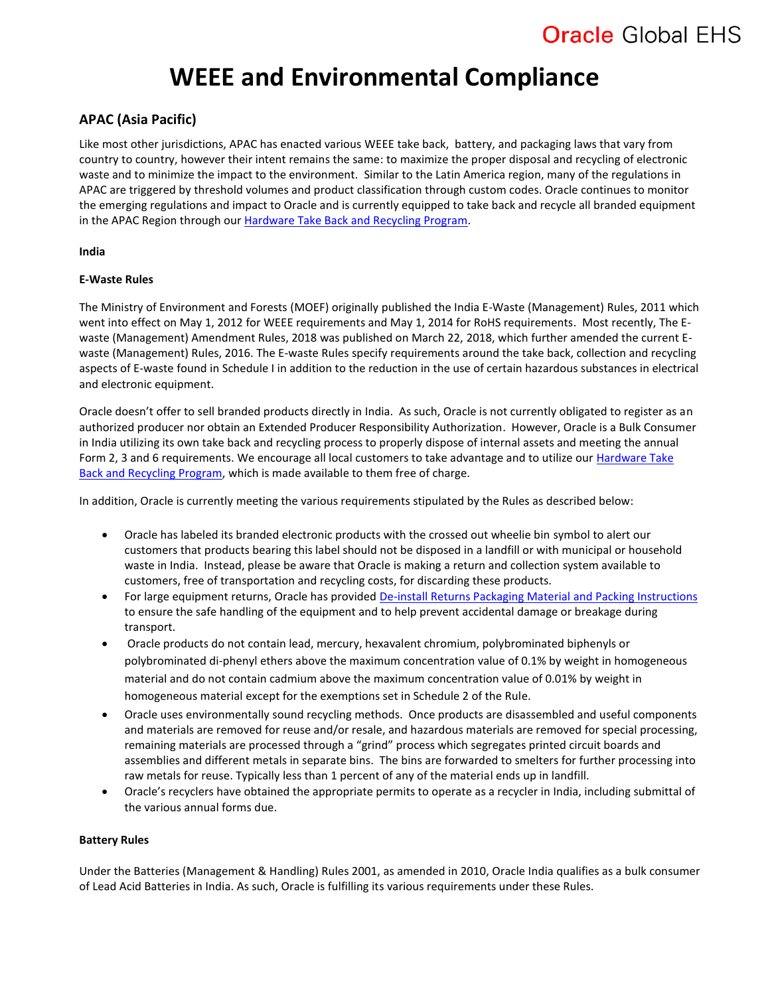# **WEEE and Environmental Compliance**

## <span id="page-3-0"></span>**APAC (Asia Pacific)**

Like most other jurisdictions, APAC has enacted various WEEE take back, battery, and packaging laws that vary from country to country, however their intent remains the same: to maximize the proper disposal and recycling of electronic waste and to minimize the impact to the environment. Similar to the Latin America region, many of the regulations in APAC are triggered by threshold volumes and product classification through custom codes. Oracle continues to monitor the emerging regulations and impact to Oracle and is currently equipped to take back and recycle all branded equipment in the APAC Region through our Hardware [Take Back and Recycling Program.](https://www.oracle.com/it-infrastructure/take-back-and-recycling/index.html)

### **India**

### **E-Waste Rules**

The Ministry of Environment and Forests (MOEF) originally published the India E-Waste (Management) Rules, 2011 which went into effect on May 1, 2012 for WEEE requirements and May 1, 2014 for RoHS requirements. Most recently, The Ewaste (Management) Amendment Rules, 2018 was published on March 22, 2018, which further amended the current Ewaste (Management) Rules, 2016. The E-waste Rules specify requirements around the take back, collection and recycling aspects of E-waste found in Schedule I in addition to the reduction in the use of certain hazardous substances in electrical and electronic equipment.

Oracle doesn't offer to sell branded products directly in India. As such, Oracle is not currently obligated to register as an authorized producer nor obtain an Extended Producer Responsibility Authorization. However, Oracle is a Bulk Consumer in India utilizing its own take back and recycling process to properly dispose of internal assets and meeting the annual Form 2, 3 and 6 requirements. We encourage all local customers to take advantage and to utilize our [Hardware Take](https://www.oracle.com/it-infrastructure/take-back-and-recycling/index.html)  [Back and Recycling Program,](https://www.oracle.com/it-infrastructure/take-back-and-recycling/index.html) which is made available to them free of charge.

In addition, Oracle is currently meeting the various requirements stipulated by the Rules as described below:

- Oracle has labeled its branded electronic products with the crossed out wheelie bin symbol to alert our customers that products bearing this label should not be disposed in a landfill or with municipal or household waste in India. Instead, please be aware that Oracle is making a return and collection system available to customers, free of transportation and recycling costs, for discarding these products.
- For large equipment returns, Oracle has provided [De-install Returns Packaging Material](https://www.oracle.com/us/products/servers-storage/take-back-and-recycling/index.html) and Packing Instructions to ensure the safe handling of the equipment and to help prevent accidental damage or breakage during transport.
- Oracle products do not contain lead, mercury, hexavalent chromium, polybrominated biphenyls or polybrominated di-phenyl ethers above the maximum concentration value of 0.1% by weight in homogeneous material and do not contain cadmium above the maximum concentration value of 0.01% by weight in homogeneous material except for the exemptions set in Schedule 2 of the Rule.
- Oracle uses environmentally sound recycling methods. Once products are disassembled and useful components and materials are removed for reuse and/or resale, and hazardous materials are removed for special processing, remaining materials are processed through a "grind" process which segregates printed circuit boards and assemblies and different metals in separate bins. The bins are forwarded to smelters for further processing into raw metals for reuse. Typically less than 1 percent of any of the material ends up in landfill.
- Oracle's recyclers have obtained the appropriate permits to operate as a recycler in India, including submittal of the various annual forms due.

### **Battery Rules**

Under the Batteries (Management & Handling) Rules 2001, as amended in 2010, Oracle India qualifies as a bulk consumer of Lead Acid Batteries in India. As such, Oracle is fulfilling its various requirements under these Rules.